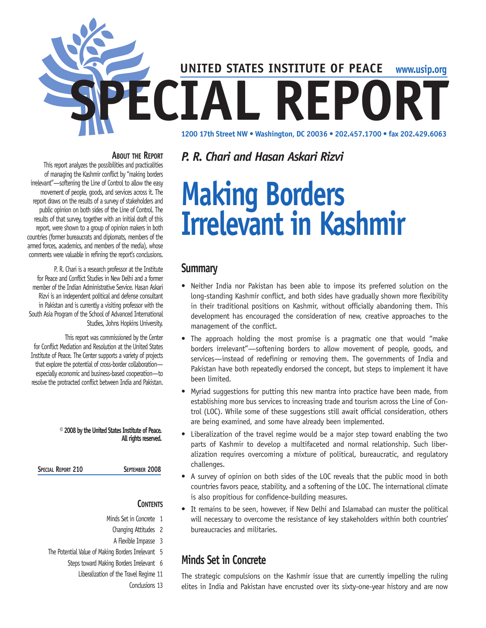

*P. R. Chari and Hasan Askari Rizvi* 

## **About the Report**

This report analyzes the possibilities and practicalities of managing the Kashmir conflict by "making borders irrelevant"—softening the Line of Control to allow the easy movement of people, goods, and services across it. The report draws on the results of a survey of stakeholders and public opinion on both sides of the Line of Control. The results of that survey, together with an initial draft of this report, were shown to a group of opinion makers in both countries (former bureaucrats and diplomats, members of the armed forces, academics, and members of the media), whose comments were valuable in refining the report's conclusions.

P. R. Chari is a research professor at the Institute for Peace and Conflict Studies in New Delhi and a former member of the Indian Administrative Service. Hasan Askari Rizvi is an independent political and defense consultant in Pakistan and is currently a visiting professor with the South Asia Program of the School of Advanced International Studies, Johns Hopkins University.

This report was commissioned by the Center for Conflict Mediation and Resolution at the United States Institute of Peace. The Center supports a variety of projects that explore the potential of cross-border collaboration especially economic and business-based cooperation—to resolve the protracted conflict between India and Pakistan.

#### **© 2008 by the United States Institute of Peace. All rights reserved.**

**Special Report 210 September 2008**

# **Making Borders Irrelevant in Kashmir**

## **Summary**

- Neither India nor Pakistan has been able to impose its preferred solution on the long-standing Kashmir conflict, and both sides have gradually shown more flexibility in their traditional positions on Kashmir, without officially abandoning them. This development has encouraged the consideration of new, creative approaches to the management of the conflict.
- The approach holding the most promise is a pragmatic one that would "make borders irrelevant"—softening borders to allow movement of people, goods, and services—instead of redefining or removing them. The governments of India and Pakistan have both repeatedly endorsed the concept, but steps to implement it have been limited.
- • Myriad suggestions for putting this new mantra into practice have been made, from establishing more bus services to increasing trade and tourism across the Line of Control (LOC). While some of these suggestions still await official consideration, others are being examined, and some have already been implemented.
- Liberalization of the travel regime would be a major step toward enabling the two parts of Kashmir to develop a multifaceted and normal relationship. Such liberalization requires overcoming a mixture of political, bureaucratic, and regulatory challenges.
- A survey of opinion on both sides of the LOC reveals that the public mood in both countries favors peace, stability, and a softening of the LOC. The international climate is also propitious for confidence-building measures.
- It remains to be seen, however, if New Delhi and Islamabad can muster the political will necessary to overcome the resistance of key stakeholders within both countries' bureaucracies and militaries.

# **Minds Set in Concrete**

The strategic compulsions on the Kashmir issue that are currently impelling the ruling elites in India and Pakistan have encrusted over its sixty-one-year history and are now

#### **Contents**

- Minds Set in Concrete 1
- Changing Attitudes 2
- A Flexible Impasse 3
- The Potential Value of Making Borders Irrelevant 5
	- Steps toward Making Borders Irrelevant 6
		- Liberalization of the Travel Regime 11
			- Conclusions 13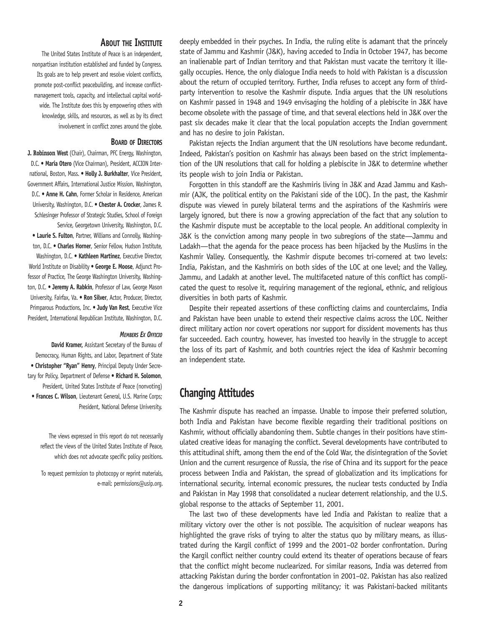## **About the Institute**

The United States Institute of Peace is an independent, nonpartisan institution established and funded by Congress. Its goals are to help prevent and resolve violent conflicts, promote post-conflict peacebuilding, and increase conflictmanagement tools, capacity, and intellectual capital worldwide. The Institute does this by empowering others with knowledge, skills, and resources, as well as by its direct involvement in conflict zones around the globe.

#### **Board of Directors**

**J. Robinson West** (Chair), Chairman, PFC Energy, Washington, D.C. • **María Otero** (Vice Chairman), President, ACCION International, Boston, Mass. • **Holly J. Burkhalter**, Vice President, Government Affairs, International Justice Mission, Washington, D.C. • **Anne H. Cahn**, Former Scholar in Residence, American University, Washington, D.C. • **Chester A. Crocker**, James R. Schlesinger Professor of Strategic Studies, School of Foreign Service, Georgetown University, Washington, D.C. • **Laurie S. Fulton**, Partner, Williams and Connolly, Washington, D.C. • **Charles Horner**, Senior Fellow, Hudson Institute, Washington, D.C. • **Kathleen Martinez**, Executive Director, World Institute on Disability • **George E. Moose**, Adjunct Professor of Practice, The George Washington University, Washington, D.C. • **Jeremy A. Rabkin**, Professor of Law, George Mason University, Fairfax, Va. • **Ron Silver**, Actor, Producer, Director, Primparous Productions, Inc. • **Judy Van Rest**, Executive Vice President, International Republican Institute, Washington, D.C.

#### *Members Ex Officio*

**David Kramer,** Assistant Secretary of the Bureau of Democracy, Human Rights, and Labor, Department of State • **Christopher "Ryan" Henry**, Principal Deputy Under Secretary for Policy, Department of Defense • **Richard H. Solomon**, President, United States Institute of Peace (nonvoting) • **Frances C. Wilson**, Lieutenant General, U.S. Marine Corps; President, National Defense University.

The views expressed in this report do not necessarily reflect the views of the United States Institute of Peace, which does not advocate specific policy positions.

To request permission to photocopy or reprint materials, e-mail: permissions@usip.org. deeply embedded in their psyches. In India, the ruling elite is adamant that the princely state of Jammu and Kashmir (J&K), having acceded to India in October 1947, has become an inalienable part of Indian territory and that Pakistan must vacate the territory it illegally occupies. Hence, the only dialogue India needs to hold with Pakistan is a discussion about the return of occupied territory. Further, India refuses to accept any form of thirdparty intervention to resolve the Kashmir dispute. India argues that the UN resolutions on Kashmir passed in 1948 and 1949 envisaging the holding of a plebiscite in J&K have become obsolete with the passage of time, and that several elections held in J&K over the past six decades make it clear that the local population accepts the Indian government and has no desire to join Pakistan.

Pakistan rejects the Indian argument that the UN resolutions have become redundant. Indeed, Pakistan's position on Kashmir has always been based on the strict implementation of the UN resolutions that call for holding a plebiscite in J&K to determine whether its people wish to join India or Pakistan.

Forgotten in this standoff are the Kashmiris living in J&K and Azad Jammu and Kashmir (AJK, the political entity on the Pakistani side of the LOC). In the past, the Kashmir dispute was viewed in purely bilateral terms and the aspirations of the Kashmiris were largely ignored, but there is now a growing appreciation of the fact that any solution to the Kashmir dispute must be acceptable to the local people. An additional complexity in J&K is the conviction among many people in two subregions of the state—Jammu and Ladakh—that the agenda for the peace process has been hijacked by the Muslims in the Kashmir Valley. Consequently, the Kashmir dispute becomes tri-cornered at two levels: India, Pakistan, and the Kashmiris on both sides of the LOC at one level; and the Valley, Jammu, and Ladakh at another level. The multifaceted nature of this conflict has complicated the quest to resolve it, requiring management of the regional, ethnic, and religious diversities in both parts of Kashmir.

Despite their repeated assertions of these conflicting claims and counterclaims, India and Pakistan have been unable to extend their respective claims across the LOC. Neither direct military action nor covert operations nor support for dissident movements has thus far succeeded. Each country, however, has invested too heavily in the struggle to accept the loss of its part of Kashmir, and both countries reject the idea of Kashmir becoming an independent state.

## **Changing Attitudes**

The Kashmir dispute has reached an impasse. Unable to impose their preferred solution, both India and Pakistan have become flexible regarding their traditional positions on Kashmir, without officially abandoning them. Subtle changes in their positions have stimulated creative ideas for managing the conflict. Several developments have contributed to this attitudinal shift, among them the end of the Cold War, the disintegration of the Soviet Union and the current resurgence of Russia, the rise of China and its support for the peace process between India and Pakistan, the spread of globalization and its implications for international security, internal economic pressures, the nuclear tests conducted by India and Pakistan in May 1998 that consolidated a nuclear deterrent relationship, and the U.S. global response to the attacks of September 11, 2001.

The last two of these developments have led India and Pakistan to realize that a military victory over the other is not possible. The acquisition of nuclear weapons has highlighted the grave risks of trying to alter the status quo by military means, as illustrated during the Kargil conflict of 1999 and the 2001–02 border confrontation. During the Kargil conflict neither country could extend its theater of operations because of fears that the conflict might become nuclearized. For similar reasons, India was deterred from attacking Pakistan during the border confrontation in 2001–02. Pakistan has also realized the dangerous implications of supporting militancy; it was Pakistani-backed militants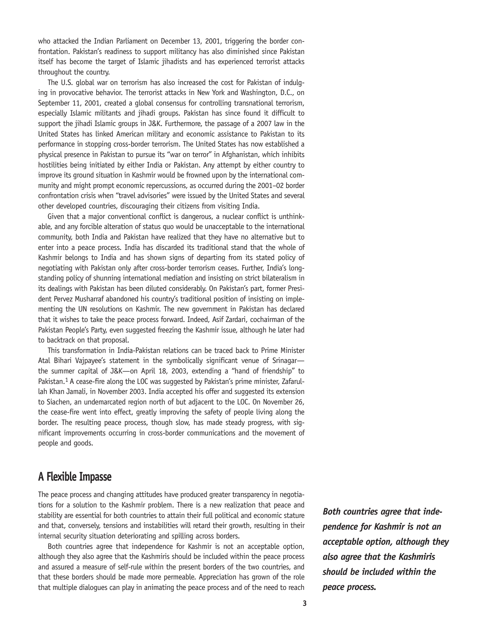who attacked the Indian Parliament on December 13, 2001, triggering the border confrontation. Pakistan's readiness to support militancy has also diminished since Pakistan itself has become the target of Islamic jihadists and has experienced terrorist attacks throughout the country.

The U.S. global war on terrorism has also increased the cost for Pakistan of indulging in provocative behavior. The terrorist attacks in New York and Washington, D.C., on September 11, 2001, created a global consensus for controlling transnational terrorism, especially Islamic militants and jihadi groups. Pakistan has since found it difficult to support the jihadi Islamic groups in J&K. Furthermore, the passage of a 2007 law in the United States has linked American military and economic assistance to Pakistan to its performance in stopping cross-border terrorism. The United States has now established a physical presence in Pakistan to pursue its "war on terror" in Afghanistan, which inhibits hostilities being initiated by either India or Pakistan. Any attempt by either country to improve its ground situation in Kashmir would be frowned upon by the international community and might prompt economic repercussions, as occurred during the 2001–02 border confrontation crisis when "travel advisories" were issued by the United States and several other developed countries, discouraging their citizens from visiting India.

Given that a major conventional conflict is dangerous, a nuclear conflict is unthinkable, and any forcible alteration of status quo would be unacceptable to the international community, both India and Pakistan have realized that they have no alternative but to enter into a peace process. India has discarded its traditional stand that the whole of Kashmir belongs to India and has shown signs of departing from its stated policy of negotiating with Pakistan only after cross-border terrorism ceases. Further, India's longstanding policy of shunning international mediation and insisting on strict bilateralism in its dealings with Pakistan has been diluted considerably. On Pakistan's part, former President Pervez Musharraf abandoned his country's traditional position of insisting on implementing the UN resolutions on Kashmir. The new government in Pakistan has declared that it wishes to take the peace process forward. Indeed, Asif Zardari, cochairman of the Pakistan People's Party, even suggested freezing the Kashmir issue, although he later had to backtrack on that proposal.

This transformation in India-Pakistan relations can be traced back to Prime Minister Atal Bihari Vajpayee's statement in the symbolically significant venue of Srinagar the summer capital of J&K—on April 18, 2003, extending a "hand of friendship" to Pakistan.<sup>1</sup> A cease-fire along the LOC was suggested by Pakistan's prime minister, Zafarullah Khan Jamali, in November 2003. India accepted his offer and suggested its extension to Siachen, an undemarcated region north of but adjacent to the LOC. On November 26, the cease-fire went into effect, greatly improving the safety of people living along the border. The resulting peace process, though slow, has made steady progress, with significant improvements occurring in cross-border communications and the movement of people and goods.

## **A Flexible Impasse**

The peace process and changing attitudes have produced greater transparency in negotiations for a solution to the Kashmir problem. There is a new realization that peace and stability are essential for both countries to attain their full political and economic stature and that, conversely, tensions and instabilities will retard their growth, resulting in their internal security situation deteriorating and spilling across borders.

Both countries agree that independence for Kashmir is not an acceptable option, although they also agree that the Kashmiris should be included within the peace process and assured a measure of self-rule within the present borders of the two countries, and that these borders should be made more permeable. Appreciation has grown of the role that multiple dialogues can play in animating the peace process and of the need to reach

*Both countries agree that independence for Kashmir is not an acceptable option, although they also agree that the Kashmiris should be included within the peace process.*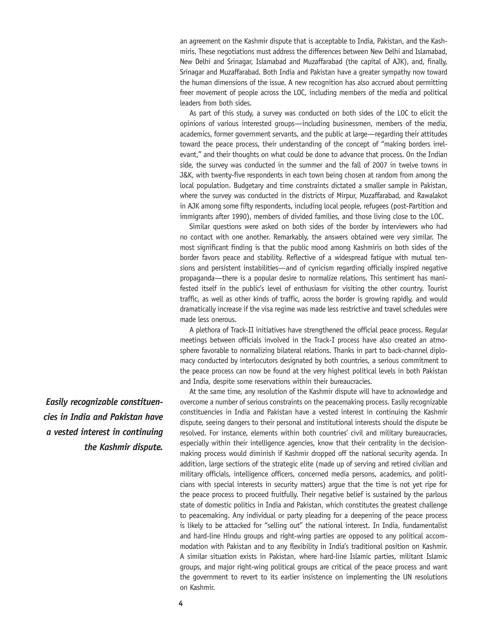an agreement on the Kashmir dispute that is acceptable to India, Pakistan, and the Kashmiris. These negotiations must address the differences between New Delhi and Islamabad, New Delhi and Srinagar, Islamabad and Muzaffarabad (the capital of AJK), and, finally, Srinagar and Muzaffarabad. Both India and Pakistan have a greater sympathy now toward the human dimensions of the issue. A new recognition has also accrued about permitting freer movement of people across the LOC, including members of the media and political leaders from both sides.

As part of this study, a survey was conducted on both sides of the LOC to elicit the opinions of various interested groups—including businessmen, members of the media, academics, former government servants, and the public at large—regarding their attitudes toward the peace process, their understanding of the concept of "making borders irrelevant," and their thoughts on what could be done to advance that process. On the Indian side, the survey was conducted in the summer and the fall of 2007 in twelve towns in J&K, with twenty-five respondents in each town being chosen at random from among the local population. Budgetary and time constraints dictated a smaller sample in Pakistan, where the survey was conducted in the districts of Mirpur, Muzaffarabad, and Rawalakot in AJK among some fifty respondents, including local people, refugees (post-Partition and immigrants after 1990), members of divided families, and those living close to the LOC.

Similar questions were asked on both sides of the border by interviewers who had no contact with one another. Remarkably, the answers obtained were very similar. The most significant finding is that the public mood among Kashmiris on both sides of the border favors peace and stability. Reflective of a widespread fatigue with mutual tensions and persistent instabilities—and of cynicism regarding officially inspired negative propaganda—there is a popular desire to normalize relations. This sentiment has manifested itself in the public's level of enthusiasm for visiting the other country. Tourist traffic, as well as other kinds of traffic, across the border is growing rapidly, and would dramatically increase if the visa regime was made less restrictive and travel schedules were made less onerous.

A plethora of Track-II initiatives have strengthened the official peace process. Regular meetings between officials involved in the Track-I process have also created an atmosphere favorable to normalizing bilateral relations. Thanks in part to back-channel diplomacy conducted by interlocutors designated by both countries, a serious commitment to the peace process can now be found at the very highest political levels in both Pakistan and India, despite some reservations within their bureaucracies.

At the same time, any resolution of the Kashmir dispute will have to acknowledge and overcome a number of serious constraints on the peacemaking process. Easily recognizable constituencies in India and Pakistan have a vested interest in continuing the Kashmir dispute, seeing dangers to their personal and institutional interests should the dispute be resolved. For instance, elements within both countries' civil and military bureaucracies, especially within their intelligence agencies, know that their centrality in the decisionmaking process would diminish if Kashmir dropped off the national security agenda. In addition, large sections of the strategic elite (made up of serving and retired civilian and military officials, intelligence officers, concerned media persons, academics, and politicians with special interests in security matters) argue that the time is not yet ripe for the peace process to proceed fruitfully. Their negative belief is sustained by the parlous state of domestic politics in India and Pakistan, which constitutes the greatest challenge to peacemaking. Any individual or party pleading for a deepening of the peace process is likely to be attacked for "selling out" the national interest. In India, fundamentalist and hard-line Hindu groups and right-wing parties are opposed to any political accommodation with Pakistan and to any flexibility in India's traditional position on Kashmir. A similar situation exists in Pakistan, where hard-line Islamic parties, militant Islamic groups, and major right-wing political groups are critical of the peace process and want the government to revert to its earlier insistence on implementing the UN resolutions on Kashmir.

*Easily recognizable constituencies in India and Pakistan have a vested interest in continuing the Kashmir dispute.*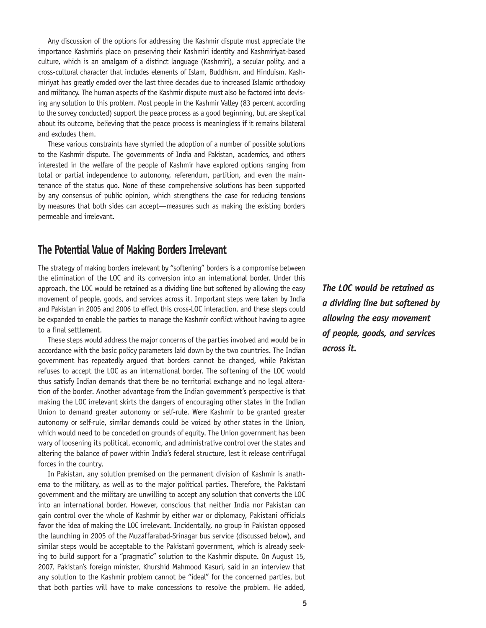Any discussion of the options for addressing the Kashmir dispute must appreciate the importance Kashmiris place on preserving their Kashmiri identity and Kashmiriyat-based culture, which is an amalgam of a distinct language (Kashmiri), a secular polity, and a cross-cultural character that includes elements of Islam, Buddhism, and Hinduism. Kashmiriyat has greatly eroded over the last three decades due to increased Islamic orthodoxy and militancy. The human aspects of the Kashmir dispute must also be factored into devising any solution to this problem. Most people in the Kashmir Valley (83 percent according to the survey conducted) support the peace process as a good beginning, but are skeptical about its outcome, believing that the peace process is meaningless if it remains bilateral and excludes them.

These various constraints have stymied the adoption of a number of possible solutions to the Kashmir dispute. The governments of India and Pakistan, academics, and others interested in the welfare of the people of Kashmir have explored options ranging from total or partial independence to autonomy, referendum, partition, and even the maintenance of the status quo. None of these comprehensive solutions has been supported by any consensus of public opinion, which strengthens the case for reducing tensions by measures that both sides can accept—measures such as making the existing borders permeable and irrelevant.

## **The Potential Value of Making Borders Irrelevant**

The strategy of making borders irrelevant by "softening" borders is a compromise between the elimination of the LOC and its conversion into an international border. Under this approach, the LOC would be retained as a dividing line but softened by allowing the easy movement of people, goods, and services across it. Important steps were taken by India and Pakistan in 2005 and 2006 to effect this cross-LOC interaction, and these steps could be expanded to enable the parties to manage the Kashmir conflict without having to agree to a final settlement.

These steps would address the major concerns of the parties involved and would be in accordance with the basic policy parameters laid down by the two countries. The Indian government has repeatedly argued that borders cannot be changed, while Pakistan refuses to accept the LOC as an international border. The softening of the LOC would thus satisfy Indian demands that there be no territorial exchange and no legal alteration of the border. Another advantage from the Indian government's perspective is that making the LOC irrelevant skirts the dangers of encouraging other states in the Indian Union to demand greater autonomy or self-rule. Were Kashmir to be granted greater autonomy or self-rule, similar demands could be voiced by other states in the Union, which would need to be conceded on grounds of equity. The Union government has been wary of loosening its political, economic, and administrative control over the states and altering the balance of power within India's federal structure, lest it release centrifugal forces in the country.

In Pakistan, any solution premised on the permanent division of Kashmir is anathema to the military, as well as to the major political parties. Therefore, the Pakistani government and the military are unwilling to accept any solution that converts the LOC into an international border. However, conscious that neither India nor Pakistan can gain control over the whole of Kashmir by either war or diplomacy, Pakistani officials favor the idea of making the LOC irrelevant. Incidentally, no group in Pakistan opposed the launching in 2005 of the Muzaffarabad-Srinagar bus service (discussed below), and similar steps would be acceptable to the Pakistani government, which is already seeking to build support for a "pragmatic" solution to the Kashmir dispute. On August 15, 2007, Pakistan's foreign minister, Khurshid Mahmood Kasuri, said in an interview that any solution to the Kashmir problem cannot be "ideal" for the concerned parties, but that both parties will have to make concessions to resolve the problem. He added,

*The LOC would be retained as a dividing line but softened by allowing the easy movement of people, goods, and services across it.*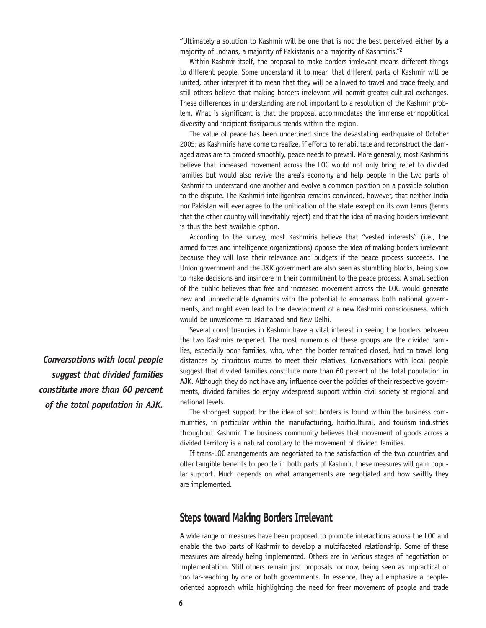"Ultimately a solution to Kashmir will be one that is not the best perceived either by a majority of Indians, a majority of Pakistanis or a majority of Kashmiris."2

Within Kashmir itself, the proposal to make borders irrelevant means different things to different people. Some understand it to mean that different parts of Kashmir will be united, other interpret it to mean that they will be allowed to travel and trade freely, and still others believe that making borders irrelevant will permit greater cultural exchanges. These differences in understanding are not important to a resolution of the Kashmir problem. What is significant is that the proposal accommodates the immense ethnopolitical diversity and incipient fissiparous trends within the region.

The value of peace has been underlined since the devastating earthquake of October 2005; as Kashmiris have come to realize, if efforts to rehabilitate and reconstruct the damaged areas are to proceed smoothly, peace needs to prevail. More generally, most Kashmiris believe that increased movement across the LOC would not only bring relief to divided families but would also revive the area's economy and help people in the two parts of Kashmir to understand one another and evolve a common position on a possible solution to the dispute. The Kashmiri intelligentsia remains convinced, however, that neither India nor Pakistan will ever agree to the unification of the state except on its own terms (terms that the other country will inevitably reject) and that the idea of making borders irrelevant is thus the best available option.

According to the survey, most Kashmiris believe that "vested interests" (i.e., the armed forces and intelligence organizations) oppose the idea of making borders irrelevant because they will lose their relevance and budgets if the peace process succeeds. The Union government and the J&K government are also seen as stumbling blocks, being slow to make decisions and insincere in their commitment to the peace process. A small section of the public believes that free and increased movement across the LOC would generate new and unpredictable dynamics with the potential to embarrass both national governments, and might even lead to the development of a new Kashmiri consciousness, which would be unwelcome to Islamabad and New Delhi.

Several constituencies in Kashmir have a vital interest in seeing the borders between the two Kashmirs reopened. The most numerous of these groups are the divided families, especially poor families, who, when the border remained closed, had to travel long distances by circuitous routes to meet their relatives. Conversations with local people suggest that divided families constitute more than 60 percent of the total population in AJK. Although they do not have any influence over the policies of their respective governments, divided families do enjoy widespread support within civil society at regional and national levels.

The strongest support for the idea of soft borders is found within the business communities, in particular within the manufacturing, horticultural, and tourism industries throughout Kashmir. The business community believes that movement of goods across a divided territory is a natural corollary to the movement of divided families.

If trans-LOC arrangements are negotiated to the satisfaction of the two countries and offer tangible benefits to people in both parts of Kashmir, these measures will gain popular support. Much depends on what arrangements are negotiated and how swiftly they are implemented.

## **Steps toward Making Borders Irrelevant**

A wide range of measures have been proposed to promote interactions across the LOC and enable the two parts of Kashmir to develop a multifaceted relationship. Some of these measures are already being implemented. Others are in various stages of negotiation or implementation. Still others remain just proposals for now, being seen as impractical or too far-reaching by one or both governments. In essence, they all emphasize a peopleoriented approach while highlighting the need for freer movement of people and trade

*Conversations with local people suggest that divided families constitute more than 60 percent of the total population in AJK.*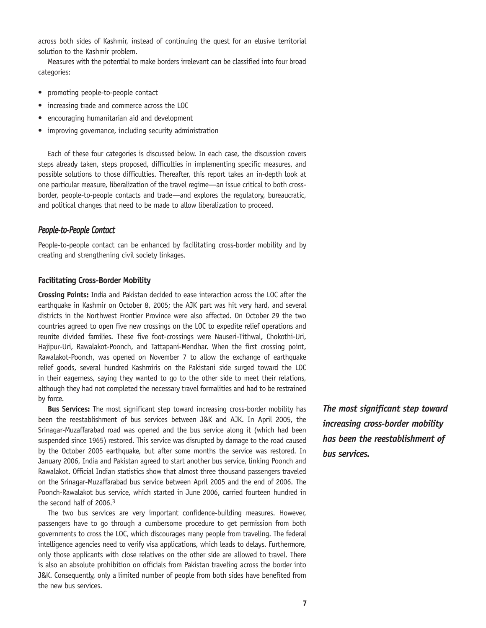across both sides of Kashmir, instead of continuing the quest for an elusive territorial solution to the Kashmir problem.

Measures with the potential to make borders irrelevant can be classified into four broad categories:

- promoting people-to-people contact
- increasing trade and commerce across the LOC
- encouraging humanitarian aid and development
- improving governance, including security administration

Each of these four categories is discussed below. In each case, the discussion covers steps already taken, steps proposed, difficulties in implementing specific measures, and possible solutions to those difficulties. Thereafter, this report takes an in-depth look at one particular measure, liberalization of the travel regime—an issue critical to both crossborder, people-to-people contacts and trade—and explores the regulatory, bureaucratic, and political changes that need to be made to allow liberalization to proceed.

#### *People-to-People Contact*

People-to-people contact can be enhanced by facilitating cross-border mobility and by creating and strengthening civil society linkages.

#### **Facilitating Cross-Border Mobility**

**Crossing Points:** India and Pakistan decided to ease interaction across the LOC after the earthquake in Kashmir on October 8, 2005; the AJK part was hit very hard, and several districts in the Northwest Frontier Province were also affected. On October 29 the two countries agreed to open five new crossings on the LOC to expedite relief operations and reunite divided families. These five foot-crossings were Nauseri-Tithwal, Chokothi-Uri, Hajipur-Uri, Rawalakot-Poonch, and Tattapani-Mendhar. When the first crossing point, Rawalakot-Poonch, was opened on November 7 to allow the exchange of earthquake relief goods, several hundred Kashmiris on the Pakistani side surged toward the LOC in their eagerness, saying they wanted to go to the other side to meet their relations, although they had not completed the necessary travel formalities and had to be restrained by force.

**Bus Services:** The most significant step toward increasing cross-border mobility has been the reestablishment of bus services between J&K and AJK. In April 2005, the Srinagar-Muzaffarabad road was opened and the bus service along it (which had been suspended since 1965) restored. This service was disrupted by damage to the road caused by the October 2005 earthquake, but after some months the service was restored. In January 2006, India and Pakistan agreed to start another bus service, linking Poonch and Rawalakot. Official Indian statistics show that almost three thousand passengers traveled on the Srinagar-Muzaffarabad bus service between April 2005 and the end of 2006. The Poonch-Rawalakot bus service, which started in June 2006, carried fourteen hundred in the second half of 2006.3

The two bus services are very important confidence-building measures. However, passengers have to go through a cumbersome procedure to get permission from both governments to cross the LOC, which discourages many people from traveling. The federal intelligence agencies need to verify visa applications, which leads to delays. Furthermore, only those applicants with close relatives on the other side are allowed to travel. There is also an absolute prohibition on officials from Pakistan traveling across the border into J&K. Consequently, only a limited number of people from both sides have benefited from the new bus services.

*The most significant step toward increasing cross-border mobility has been the reestablishment of bus services.*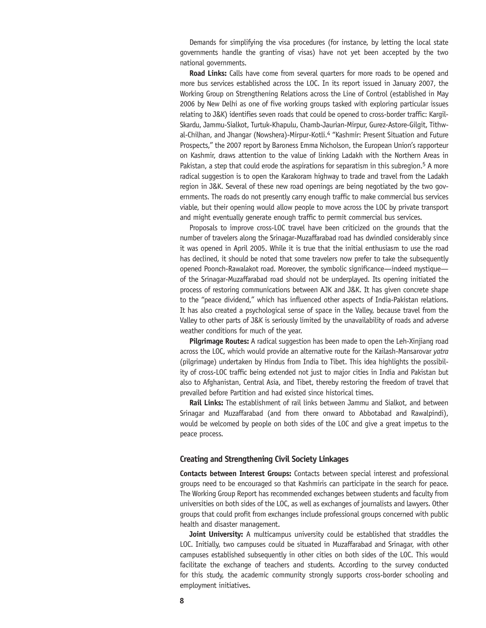Demands for simplifying the visa procedures (for instance, by letting the local state governments handle the granting of visas) have not yet been accepted by the two national governments.

**Road Links:** Calls have come from several quarters for more roads to be opened and more bus services established across the LOC. In its report issued in January 2007, the Working Group on Strengthening Relations across the Line of Control (established in May 2006 by New Delhi as one of five working groups tasked with exploring particular issues relating to J&K) identifies seven roads that could be opened to cross-border traffic: Kargil-Skardu, Jammu-Sialkot, Turtuk-Khapulu, Chamb-Jaurian-Mirpur, Gurez-Astore-Gilgit, Tithwal-Chilhan, and Jhangar (Nowshera)-Mirpur-Kotli.<sup>4</sup> "Kashmir: Present Situation and Future Prospects," the 2007 report by Baroness Emma Nicholson, the European Union's rapporteur on Kashmir, draws attention to the value of linking Ladakh with the Northern Areas in Pakistan, a step that could erode the aspirations for separatism in this subregion.<sup>5</sup> A more radical suggestion is to open the Karakoram highway to trade and travel from the Ladakh region in J&K. Several of these new road openings are being negotiated by the two governments. The roads do not presently carry enough traffic to make commercial bus services viable, but their opening would allow people to move across the LOC by private transport and might eventually generate enough traffic to permit commercial bus services.

Proposals to improve cross-LOC travel have been criticized on the grounds that the number of travelers along the Srinagar-Muzaffarabad road has dwindled considerably since it was opened in April 2005. While it is true that the initial enthusiasm to use the road has declined, it should be noted that some travelers now prefer to take the subsequently opened Poonch-Rawalakot road. Moreover, the symbolic significance—indeed mystique of the Srinagar-Muzaffarabad road should not be underplayed. Its opening initiated the process of restoring communications between AJK and J&K. It has given concrete shape to the "peace dividend," which has influenced other aspects of India-Pakistan relations. It has also created a psychological sense of space in the Valley, because travel from the Valley to other parts of J&K is seriously limited by the unavailability of roads and adverse weather conditions for much of the year.

**Pilgrimage Routes:** A radical suggestion has been made to open the Leh-Xinjiang road across the LOC, which would provide an alternative route for the Kailash-Mansarovar *yatra* (pilgrimage) undertaken by Hindus from India to Tibet. This idea highlights the possibility of cross-LOC traffic being extended not just to major cities in India and Pakistan but also to Afghanistan, Central Asia, and Tibet, thereby restoring the freedom of travel that prevailed before Partition and had existed since historical times.

**Rail Links:** The establishment of rail links between Jammu and Sialkot, and between Srinagar and Muzaffarabad (and from there onward to Abbotabad and Rawalpindi), would be welcomed by people on both sides of the LOC and give a great impetus to the peace process.

#### **Creating and Strengthening Civil Society Linkages**

**Contacts between Interest Groups:** Contacts between special interest and professional groups need to be encouraged so that Kashmiris can participate in the search for peace. The Working Group Report has recommended exchanges between students and faculty from universities on both sides of the LOC, as well as exchanges of journalists and lawyers. Other groups that could profit from exchanges include professional groups concerned with public health and disaster management.

**Joint University:** A multicampus university could be established that straddles the LOC. Initially, two campuses could be situated in Muzaffarabad and Srinagar, with other campuses established subsequently in other cities on both sides of the LOC. This would facilitate the exchange of teachers and students. According to the survey conducted for this study, the academic community strongly supports cross-border schooling and employment initiatives.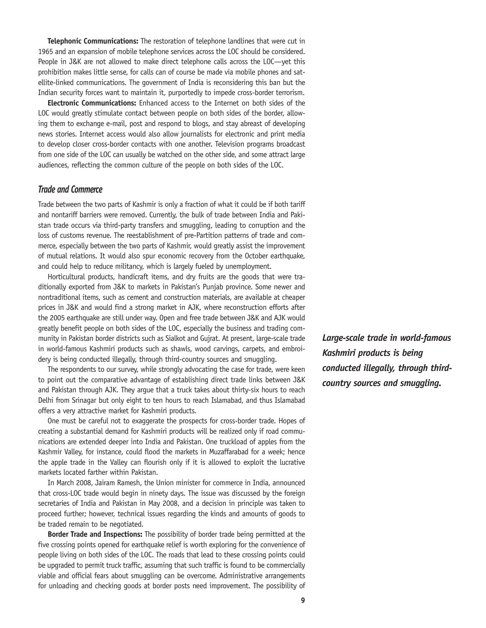**Telephonic Communications:** The restoration of telephone landlines that were cut in 1965 and an expansion of mobile telephone services across the LOC should be considered. People in J&K are not allowed to make direct telephone calls across the LOC—yet this prohibition makes little sense, for calls can of course be made via mobile phones and satellite-linked communications. The government of India is reconsidering this ban but the Indian security forces want to maintain it, purportedly to impede cross-border terrorism.

**Electronic Communications:** Enhanced access to the Internet on both sides of the LOC would greatly stimulate contact between people on both sides of the border, allowing them to exchange e-mail, post and respond to blogs, and stay abreast of developing news stories. Internet access would also allow journalists for electronic and print media to develop closer cross-border contacts with one another. Television programs broadcast from one side of the LOC can usually be watched on the other side, and some attract large audiences, reflecting the common culture of the people on both sides of the LOC.

## *Trade and Commerce*

Trade between the two parts of Kashmir is only a fraction of what it could be if both tariff and nontariff barriers were removed. Currently, the bulk of trade between India and Pakistan trade occurs via third-party transfers and smuggling, leading to corruption and the loss of customs revenue. The reestablishment of pre-Partition patterns of trade and commerce, especially between the two parts of Kashmir, would greatly assist the improvement of mutual relations. It would also spur economic recovery from the October earthquake, and could help to reduce militancy, which is largely fueled by unemployment.

Horticultural products, handicraft items, and dry fruits are the goods that were traditionally exported from J&K to markets in Pakistan's Punjab province. Some newer and nontraditional items, such as cement and construction materials, are available at cheaper prices in J&K and would find a strong market in AJK, where reconstruction efforts after the 2005 earthquake are still under way. Open and free trade between J&K and AJK would greatly benefit people on both sides of the LOC, especially the business and trading community in Pakistan border districts such as Sialkot and Gujrat. At present, large-scale trade in world-famous Kashmiri products such as shawls, wood carvings, carpets, and embroidery is being conducted illegally, through third-country sources and smuggling.

The respondents to our survey, while strongly advocating the case for trade, were keen to point out the comparative advantage of establishing direct trade links between J&K and Pakistan through AJK. They argue that a truck takes about thirty-six hours to reach Delhi from Srinagar but only eight to ten hours to reach Islamabad, and thus Islamabad offers a very attractive market for Kashmiri products.

One must be careful not to exaggerate the prospects for cross-border trade. Hopes of creating a substantial demand for Kashmiri products will be realized only if road communications are extended deeper into India and Pakistan. One truckload of apples from the Kashmir Valley, for instance, could flood the markets in Muzaffarabad for a week; hence the apple trade in the Valley can flourish only if it is allowed to exploit the lucrative markets located farther within Pakistan.

In March 2008, Jairam Ramesh, the Union minister for commerce in India, announced that cross-LOC trade would begin in ninety days. The issue was discussed by the foreign secretaries of India and Pakistan in May 2008, and a decision in principle was taken to proceed further; however, technical issues regarding the kinds and amounts of goods to be traded remain to be negotiated.

**Border Trade and Inspections:** The possibility of border trade being permitted at the five crossing points opened for earthquake relief is worth exploring for the convenience of people living on both sides of the LOC. The roads that lead to these crossing points could be upgraded to permit truck traffic, assuming that such traffic is found to be commercially viable and official fears about smuggling can be overcome. Administrative arrangements for unloading and checking goods at border posts need improvement. The possibility of *Large-scale trade in world-famous Kashmiri products is being conducted illegally, through thirdcountry sources and smuggling.*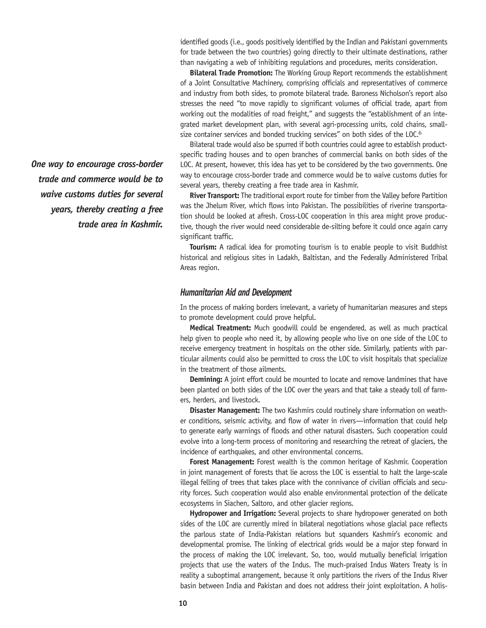identified goods (i.e., goods positively identified by the Indian and Pakistani governments for trade between the two countries) going directly to their ultimate destinations, rather than navigating a web of inhibiting regulations and procedures, merits consideration.

**Bilateral Trade Promotion:** The Working Group Report recommends the establishment of a Joint Consultative Machinery, comprising officials and representatives of commerce and industry from both sides, to promote bilateral trade. Baroness Nicholson's report also stresses the need "to move rapidly to significant volumes of official trade, apart from working out the modalities of road freight," and suggests the "establishment of an integrated market development plan, with several agri-processing units, cold chains, smallsize container services and bonded trucking services" on both sides of the LOC.<sup>6</sup>

Bilateral trade would also be spurred if both countries could agree to establish productspecific trading houses and to open branches of commercial banks on both sides of the LOC. At present, however, this idea has yet to be considered by the two governments. One way to encourage cross-border trade and commerce would be to waive customs duties for several years, thereby creating a free trade area in Kashmir.

**River Transport:** The traditional export route for timber from the Valley before Partition was the Jhelum River, which flows into Pakistan. The possibilities of riverine transportation should be looked at afresh. Cross-LOC cooperation in this area might prove productive, though the river would need considerable de-silting before it could once again carry significant traffic.

**Tourism:** A radical idea for promoting tourism is to enable people to visit Buddhist historical and religious sites in Ladakh, Baltistan, and the Federally Administered Tribal Areas region.

## *Humanitarian Aid and Development*

In the process of making borders irrelevant, a variety of humanitarian measures and steps to promote development could prove helpful.

**Medical Treatment:** Much goodwill could be engendered, as well as much practical help given to people who need it, by allowing people who live on one side of the LOC to receive emergency treatment in hospitals on the other side. Similarly, patients with particular ailments could also be permitted to cross the LOC to visit hospitals that specialize in the treatment of those ailments.

**Demining:** A joint effort could be mounted to locate and remove landmines that have been planted on both sides of the LOC over the years and that take a steady toll of farmers, herders, and livestock.

**Disaster Management:** The two Kashmirs could routinely share information on weather conditions, seismic activity, and flow of water in rivers—information that could help to generate early warnings of floods and other natural disasters. Such cooperation could evolve into a long-term process of monitoring and researching the retreat of glaciers, the incidence of earthquakes, and other environmental concerns.

**Forest Management:** Forest wealth is the common heritage of Kashmir. Cooperation in joint management of forests that lie across the LOC is essential to halt the large-scale illegal felling of trees that takes place with the connivance of civilian officials and security forces. Such cooperation would also enable environmental protection of the delicate ecosystems in Siachen, Saltoro, and other glacier regions.

**Hydropower and Irrigation:** Several projects to share hydropower generated on both sides of the LOC are currently mired in bilateral negotiations whose glacial pace reflects the parlous state of India-Pakistan relations but squanders Kashmir's economic and developmental promise. The linking of electrical grids would be a major step forward in the process of making the LOC irrelevant. So, too, would mutually beneficial irrigation projects that use the waters of the Indus. The much-praised Indus Waters Treaty is in reality a suboptimal arrangement, because it only partitions the rivers of the Indus River basin between India and Pakistan and does not address their joint exploitation. A holis-

*One way to encourage cross-border trade and commerce would be to waive customs duties for several years, thereby creating a free trade area in Kashmir.*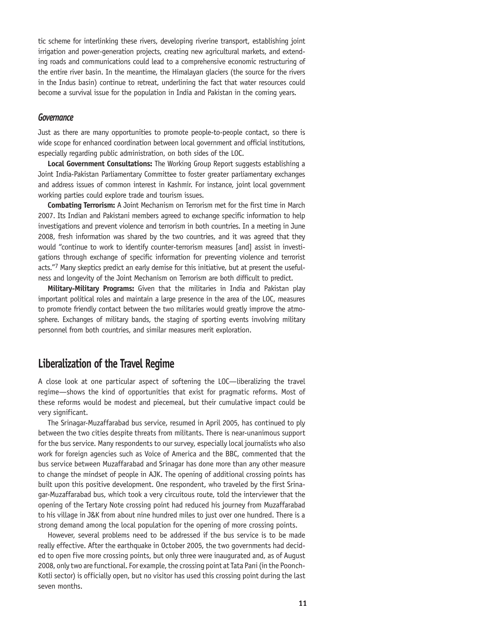tic scheme for interlinking these rivers, developing riverine transport, establishing joint irrigation and power-generation projects, creating new agricultural markets, and extending roads and communications could lead to a comprehensive economic restructuring of the entire river basin. In the meantime, the Himalayan glaciers (the source for the rivers in the Indus basin) continue to retreat, underlining the fact that water resources could become a survival issue for the population in India and Pakistan in the coming years.

### *Governance*

Just as there are many opportunities to promote people-to-people contact, so there is wide scope for enhanced coordination between local government and official institutions, especially regarding public administration, on both sides of the LOC.

**Local Government Consultations:** The Working Group Report suggests establishing a Joint India-Pakistan Parliamentary Committee to foster greater parliamentary exchanges and address issues of common interest in Kashmir. For instance, joint local government working parties could explore trade and tourism issues.

**Combating Terrorism:** A Joint Mechanism on Terrorism met for the first time in March 2007. Its Indian and Pakistani members agreed to exchange specific information to help investigations and prevent violence and terrorism in both countries. In a meeting in June 2008, fresh information was shared by the two countries, and it was agreed that they would "continue to work to identify counter-terrorism measures [and] assist in investigations through exchange of specific information for preventing violence and terrorist acts."<sup>7</sup> Many skeptics predict an early demise for this initiative, but at present the usefulness and longevity of the Joint Mechanism on Terrorism are both difficult to predict.

**Military-Military Programs:** Given that the militaries in India and Pakistan play important political roles and maintain a large presence in the area of the LOC, measures to promote friendly contact between the two militaries would greatly improve the atmosphere. Exchanges of military bands, the staging of sporting events involving military personnel from both countries, and similar measures merit exploration.

## **Liberalization of the Travel Regime**

A close look at one particular aspect of softening the LOC—liberalizing the travel regime—shows the kind of opportunities that exist for pragmatic reforms. Most of these reforms would be modest and piecemeal, but their cumulative impact could be very significant.

The Srinagar-Muzaffarabad bus service, resumed in April 2005, has continued to ply between the two cities despite threats from militants. There is near-unanimous support for the bus service. Many respondents to our survey, especially local journalists who also work for foreign agencies such as Voice of America and the BBC, commented that the bus service between Muzaffarabad and Srinagar has done more than any other measure to change the mindset of people in AJK. The opening of additional crossing points has built upon this positive development. One respondent, who traveled by the first Srinagar-Muzaffarabad bus, which took a very circuitous route, told the interviewer that the opening of the Tertary Note crossing point had reduced his journey from Muzaffarabad to his village in J&K from about nine hundred miles to just over one hundred. There is a strong demand among the local population for the opening of more crossing points.

However, several problems need to be addressed if the bus service is to be made really effective. After the earthquake in October 2005, the two governments had decided to open five more crossing points, but only three were inaugurated and, as of August 2008, only two are functional. For example, the crossing point at Tata Pani (in the Poonch-Kotli sector) is officially open, but no visitor has used this crossing point during the last seven months.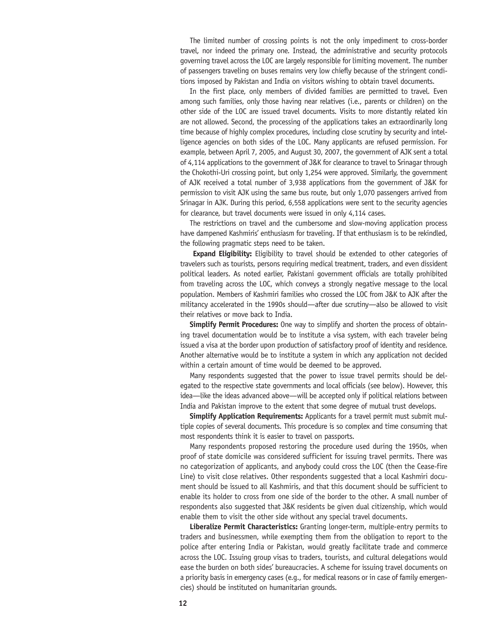The limited number of crossing points is not the only impediment to cross-border travel, nor indeed the primary one. Instead, the administrative and security protocols governing travel across the LOC are largely responsible for limiting movement. The number of passengers traveling on buses remains very low chiefly because of the stringent conditions imposed by Pakistan and India on visitors wishing to obtain travel documents.

In the first place, only members of divided families are permitted to travel. Even among such families, only those having near relatives (i.e., parents or children) on the other side of the LOC are issued travel documents. Visits to more distantly related kin are not allowed. Second, the processing of the applications takes an extraordinarily long time because of highly complex procedures, including close scrutiny by security and intelligence agencies on both sides of the LOC. Many applicants are refused permission. For example, between April 7, 2005, and August 30, 2007, the government of AJK sent a total of 4,114 applications to the government of J&K for clearance to travel to Srinagar through the Chokothi-Uri crossing point, but only 1,254 were approved. Similarly, the government of AJK received a total number of 3,938 applications from the government of J&K for permission to visit AJK using the same bus route, but only 1,070 passengers arrived from Srinagar in AJK. During this period, 6,558 applications were sent to the security agencies for clearance, but travel documents were issued in only 4,114 cases.

The restrictions on travel and the cumbersome and slow-moving application process have dampened Kashmiris' enthusiasm for traveling. If that enthusiasm is to be rekindled, the following pragmatic steps need to be taken.

**Expand Eligibility:** Eligibility to travel should be extended to other categories of travelers such as tourists, persons requiring medical treatment, traders, and even dissident political leaders. As noted earlier, Pakistani government officials are totally prohibited from traveling across the LOC, which conveys a strongly negative message to the local population. Members of Kashmiri families who crossed the LOC from J&K to AJK after the militancy accelerated in the 1990s should—after due scrutiny—also be allowed to visit their relatives or move back to India.

**Simplify Permit Procedures:** One way to simplify and shorten the process of obtaining travel documentation would be to institute a visa system, with each traveler being issued a visa at the border upon production of satisfactory proof of identity and residence. Another alternative would be to institute a system in which any application not decided within a certain amount of time would be deemed to be approved.

Many respondents suggested that the power to issue travel permits should be delegated to the respective state governments and local officials (see below). However, this idea—like the ideas advanced above—will be accepted only if political relations between India and Pakistan improve to the extent that some degree of mutual trust develops.

**Simplify Application Requirements:** Applicants for a travel permit must submit multiple copies of several documents. This procedure is so complex and time consuming that most respondents think it is easier to travel on passports.

Many respondents proposed restoring the procedure used during the 1950s, when proof of state domicile was considered sufficient for issuing travel permits. There was no categorization of applicants, and anybody could cross the LOC (then the Cease-fire Line) to visit close relatives. Other respondents suggested that a local Kashmiri document should be issued to all Kashmiris, and that this document should be sufficient to enable its holder to cross from one side of the border to the other. A small number of respondents also suggested that J&K residents be given dual citizenship, which would enable them to visit the other side without any special travel documents.

**Liberalize Permit Characteristics:** Granting longer-term, multiple-entry permits to traders and businessmen, while exempting them from the obligation to report to the police after entering India or Pakistan, would greatly facilitate trade and commerce across the LOC. Issuing group visas to traders, tourists, and cultural delegations would ease the burden on both sides' bureaucracies. A scheme for issuing travel documents on a priority basis in emergency cases (e.g., for medical reasons or in case of family emergencies) should be instituted on humanitarian grounds.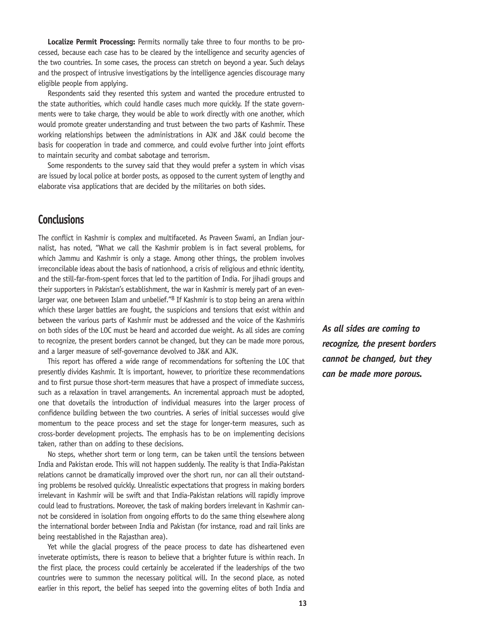**Localize Permit Processing:** Permits normally take three to four months to be processed, because each case has to be cleared by the intelligence and security agencies of the two countries. In some cases, the process can stretch on beyond a year. Such delays and the prospect of intrusive investigations by the intelligence agencies discourage many eligible people from applying.

Respondents said they resented this system and wanted the procedure entrusted to the state authorities, which could handle cases much more quickly. If the state governments were to take charge, they would be able to work directly with one another, which would promote greater understanding and trust between the two parts of Kashmir. These working relationships between the administrations in AJK and J&K could become the basis for cooperation in trade and commerce, and could evolve further into joint efforts to maintain security and combat sabotage and terrorism.

Some respondents to the survey said that they would prefer a system in which visas are issued by local police at border posts, as opposed to the current system of lengthy and elaborate visa applications that are decided by the militaries on both sides.

## **Conclusions**

The conflict in Kashmir is complex and multifaceted. As Praveen Swami, an Indian journalist, has noted, "What we call the Kashmir problem is in fact several problems, for which Jammu and Kashmir is only a stage. Among other things, the problem involves irreconcilable ideas about the basis of nationhood, a crisis of religious and ethnic identity, and the still-far-from-spent forces that led to the partition of India. For jihadi groups and their supporters in Pakistan's establishment, the war in Kashmir is merely part of an evenlarger war, one between Islam and unbelief."8 If Kashmir is to stop being an arena within which these larger battles are fought, the suspicions and tensions that exist within and between the various parts of Kashmir must be addressed and the voice of the Kashmiris on both sides of the LOC must be heard and accorded due weight. As all sides are coming to recognize, the present borders cannot be changed, but they can be made more porous, and a larger measure of self-governance devolved to J&K and AJK.

This report has offered a wide range of recommendations for softening the LOC that presently divides Kashmir. It is important, however, to prioritize these recommendations and to first pursue those short-term measures that have a prospect of immediate success, such as a relaxation in travel arrangements. An incremental approach must be adopted, one that dovetails the introduction of individual measures into the larger process of confidence building between the two countries. A series of initial successes would give momentum to the peace process and set the stage for longer-term measures, such as cross-border development projects. The emphasis has to be on implementing decisions taken, rather than on adding to these decisions.

No steps, whether short term or long term, can be taken until the tensions between India and Pakistan erode. This will not happen suddenly. The reality is that India-Pakistan relations cannot be dramatically improved over the short run, nor can all their outstanding problems be resolved quickly. Unrealistic expectations that progress in making borders irrelevant in Kashmir will be swift and that India-Pakistan relations will rapidly improve could lead to frustrations. Moreover, the task of making borders irrelevant in Kashmir cannot be considered in isolation from ongoing efforts to do the same thing elsewhere along the international border between India and Pakistan (for instance, road and rail links are being reestablished in the Rajasthan area).

Yet while the glacial progress of the peace process to date has disheartened even inveterate optimists, there is reason to believe that a brighter future is within reach. In the first place, the process could certainly be accelerated if the leaderships of the two countries were to summon the necessary political will. In the second place, as noted earlier in this report, the belief has seeped into the governing elites of both India and *As all sides are coming to recognize, the present borders cannot be changed, but they can be made more porous.*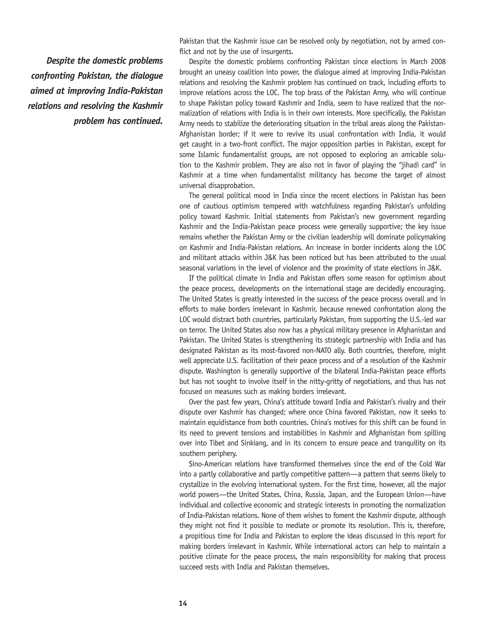*Despite the domestic problems confronting Pakistan, the dialogue aimed at improving India-Pakistan relations and resolving the Kashmir problem has continued.* 

Pakistan that the Kashmir issue can be resolved only by negotiation, not by armed conflict and not by the use of insurgents.

Despite the domestic problems confronting Pakistan since elections in March 2008 brought an uneasy coalition into power, the dialogue aimed at improving India-Pakistan relations and resolving the Kashmir problem has continued on track, including efforts to improve relations across the LOC. The top brass of the Pakistan Army, who will continue to shape Pakistan policy toward Kashmir and India, seem to have realized that the normalization of relations with India is in their own interests. More specifically, the Pakistan Army needs to stabilize the deteriorating situation in the tribal areas along the Pakistan-Afghanistan border; if it were to revive its usual confrontation with India, it would get caught in a two-front conflict. The major opposition parties in Pakistan, except for some Islamic fundamentalist groups, are not opposed to exploring an amicable solution to the Kashmir problem. They are also not in favor of playing the "jihadi card" in Kashmir at a time when fundamentalist militancy has become the target of almost universal disapprobation.

The general political mood in India since the recent elections in Pakistan has been one of cautious optimism tempered with watchfulness regarding Pakistan's unfolding policy toward Kashmir. Initial statements from Pakistan's new government regarding Kashmir and the India-Pakistan peace process were generally supportive; the key issue remains whether the Pakistan Army or the civilian leadership will dominate policymaking on Kashmir and India-Pakistan relations. An increase in border incidents along the LOC and militant attacks within J&K has been noticed but has been attributed to the usual seasonal variations in the level of violence and the proximity of state elections in J&K.

If the political climate in India and Pakistan offers some reason for optimism about the peace process, developments on the international stage are decidedly encouraging. The United States is greatly interested in the success of the peace process overall and in efforts to make borders irrelevant in Kashmir, because renewed confrontation along the LOC would distract both countries, particularly Pakistan, from supporting the U.S.-led war on terror. The United States also now has a physical military presence in Afghanistan and Pakistan. The United States is strengthening its strategic partnership with India and has designated Pakistan as its most-favored non-NATO ally. Both countries, therefore, might well appreciate U.S. facilitation of their peace process and of a resolution of the Kashmir dispute. Washington is generally supportive of the bilateral India-Pakistan peace efforts but has not sought to involve itself in the nitty-gritty of negotiations, and thus has not focused on measures such as making borders irrelevant.

Over the past few years, China's attitude toward India and Pakistan's rivalry and their dispute over Kashmir has changed; where once China favored Pakistan, now it seeks to maintain equidistance from both countries. China's motives for this shift can be found in its need to prevent tensions and instabilities in Kashmir and Afghanistan from spilling over into Tibet and Sinkiang, and in its concern to ensure peace and tranquility on its southern periphery.

Sino-American relations have transformed themselves since the end of the Cold War into a partly collaborative and partly competitive pattern—a pattern that seems likely to crystallize in the evolving international system. For the first time, however, all the major world powers—the United States, China, Russia, Japan, and the European Union—have individual and collective economic and strategic interests in promoting the normalization of India-Pakistan relations. None of them wishes to foment the Kashmir dispute, although they might not find it possible to mediate or promote its resolution. This is, therefore, a propitious time for India and Pakistan to explore the ideas discussed in this report for making borders irrelevant in Kashmir. While international actors can help to maintain a positive climate for the peace process, the main responsibility for making that process succeed rests with India and Pakistan themselves.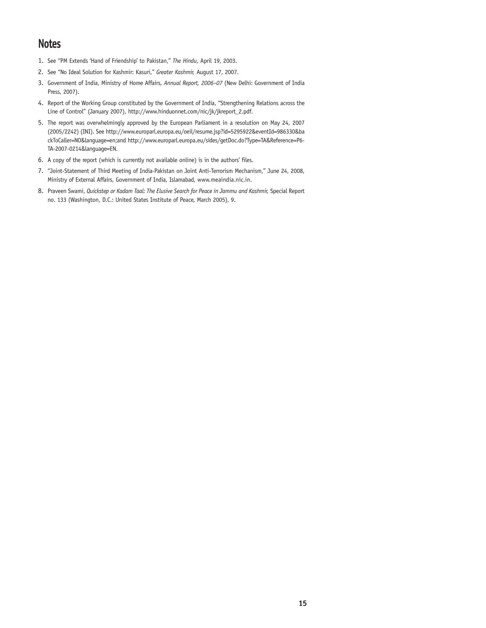# **Notes**

- 1. See "PM Extends 'Hand of Friendship' to Pakistan," *The Hindu*, April 19, 2003.
- 2. See "No Ideal Solution for Kashmir: Kasuri," *Greater Kashmir,* August 17, 2007.
- 3. Government of India, Ministry of Home Affairs, *Annual Report, 2006–07* (New Delhi: Government of India Press, 2007).
- 4. Report of the Working Group constituted by the Government of India, "Strengthening Relations across the Line of Control" (January 2007), http://www.hinduonnet.com/nic/jk/jkreport\_2.pdf.
- 5. The report was overwhelmingly approved by the European Parliament in a resolution on May 24, 2007 (2005/2242) (INI). See http://www.europarl.europa.eu/oeil/resume.jsp?id=5295922&eventId=986330&ba ckToCaller=NO&language=en;and http://www.europarl.europa.eu/sides/getDoc.do?Type=TA&Reference=P6- TA-2007-0214&language=EN.
- 6. A copy of the report (which is currently not available online) is in the authors' files.
- 7. "Joint-Statement of Third Meeting of India-Pakistan on Joint Anti-Terrorism Mechanism," June 24, 2008, Ministry of External Affairs, Government of India, Islamabad, www.meaindia.nic.in.
- 8. Praveen Swami, *Quickstep or Kadam Taal: The Elusive Search for Peace in Jammu and Kashmir,* Special Report no. 133 (Washington, D.C.: United States Institute of Peace, March 2005), 9.